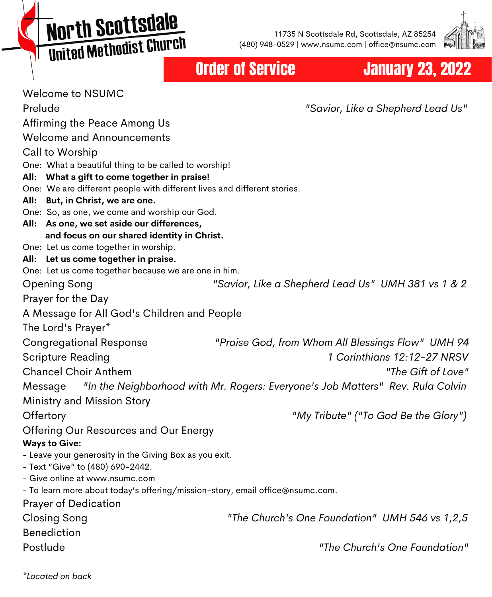North Scottsdale United Methodist Church

11735 N Scottsdale Rd, Scottsdale, AZ 85254 (480) 948-0529 | www.nsumc.com | office@nsumc.com



# Order of Service January 23, 2022

Welcome to NSUMC Prelude *"Savior, Like a Shepherd Lead Us"* Affirming the Peace Among Us Welcome and Announcements Call to Worship One: What a beautiful thing to be called to worship! **All: What a gift to come together in praise!** One: We are different people with different lives and different stories. **All: But, in Christ, we are one.** One: So, as one, we come and worship our God. **All: As one, we set aside our differences, and focus on our shared identity in Christ.** One: Let us come together in worship. **All: Let us come together in praise.** One: Let us come together because we are one in him. Opening Song *"Savior, Like a Shepherd Lead Us" UMH 381 vs 1 & 2* Prayer for the Day A Message for All God's Children and People The Lord's Prayer\* Congregational Response *"Praise God, from Whom All Blessings Flow" UMH 94* Scripture Reading *1 Corinthians 12:12-27 NRSV* Chancel Choir Anthem *"The Gift of Love"* Message *"In the Neighborhood with Mr. Rogers: Everyone's Job Matters" Rev. Rula Colvin* Ministry and Mission Story Offertory *"My Tribute" ("To God Be the Glory")* Offering Our Resources and Our Energy **Ways to Give:** - Leave your generosity in the Giving Box as you exit. - Text "Give" to (480) 690-2442. - Give online at www.nsumc.com - To learn more about today's offering/mission-story, email office@nsumc.com. Prayer of Dedication Closing Song *"The Church's One Foundation" UMH 546 vs 1,2,5* Benediction Postlude *"The Church's One Foundation"*

*\*Located on back*